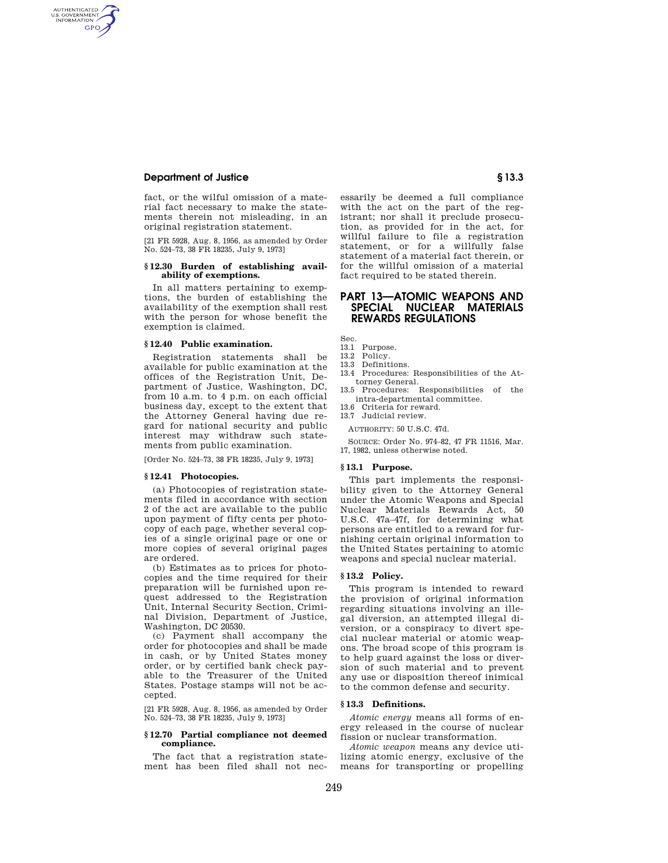## **Department of Justice § 13.3**

AUTHENTICATED<br>U.S. GOVERNMENT<br>INFORMATION **GPO** 

> fact, or the wilful omission of a material fact necessary to make the statements therein not misleading, in an original registration statement.

> [21 FR 5928, Aug. 8, 1956, as amended by Order No. 524–73, 38 FR 18235, July 9, 1973]

#### **§ 12.30 Burden of establishing availability of exemptions.**

In all matters pertaining to exemptions, the burden of establishing the availability of the exemption shall rest with the person for whose benefit the exemption is claimed.

#### **§ 12.40 Public examination.**

Registration statements shall be available for public examination at the offices of the Registration Unit, Department of Justice, Washington, DC, from 10 a.m. to 4 p.m. on each official business day, except to the extent that the Attorney General having due regard for national security and public interest may withdraw such statements from public examination.

[Order No. 524–73, 38 FR 18235, July 9, 1973]

#### **§ 12.41 Photocopies.**

(a) Photocopies of registration statements filed in accordance with section 2 of the act are available to the public upon payment of fifty cents per photocopy of each page, whether several copies of a single original page or one or more copies of several original pages are ordered.

(b) Estimates as to prices for photocopies and the time required for their preparation will be furnished upon request addressed to the Registration Unit, Internal Security Section, Criminal Division, Department of Justice, Washington, DC 20530.

(c) Payment shall accompany the order for photocopies and shall be made in cash, or by United States money order, or by certified bank check payable to the Treasurer of the United States. Postage stamps will not be accepted.

[21 FR 5928, Aug. 8, 1956, as amended by Order No. 524–73, 38 FR 18235, July 9, 1973]

## **§ 12.70 Partial compliance not deemed compliance.**

The fact that a registration statement has been filed shall not nec-

essarily be deemed a full compliance with the act on the part of the registrant; nor shall it preclude prosecution, as provided for in the act, for willful failure to file a registration statement, or for a willfully false statement of a material fact therein, or for the willful omission of a material fact required to be stated therein.

# **PART 13—ATOMIC WEAPONS AND SPECIAL NUCLEAR MATERIALS REWARDS REGULATIONS**

Sec.

- 13.1 Purpose.
- 13.2 Policy. 13.3 Definitions.
- 
- 13.4 Procedures: Responsibilities of the Attorney General.
- 13.5 Procedures: Responsibilities of the intra-departmental committee. 13.6 Criteria for reward.
- 13.7 Judicial review.

AUTHORITY: 50 U.S.C. 47d.

SOURCE: Order No. 974–82, 47 FR 11516, Mar. 17, 1982, unless otherwise noted.

### **§ 13.1 Purpose.**

This part implements the responsibility given to the Attorney General under the Atomic Weapons and Special Nuclear Materials Rewards Act, 50 U.S.C. 47a–47f, for determining what persons are entitled to a reward for furnishing certain original information to the United States pertaining to atomic weapons and special nuclear material.

# **§ 13.2 Policy.**

This program is intended to reward the provision of original information regarding situations involving an illegal diversion, an attempted illegal diversion, or a conspiracy to divert special nuclear material or atomic weapons. The broad scope of this program is to help guard against the loss or diversion of such material and to prevent any use or disposition thereof inimical to the common defense and security.

#### **§ 13.3 Definitions.**

*Atomic energy* means all forms of energy released in the course of nuclear fission or nuclear transformation.

*Atomic weapon* means any device utilizing atomic energy, exclusive of the means for transporting or propelling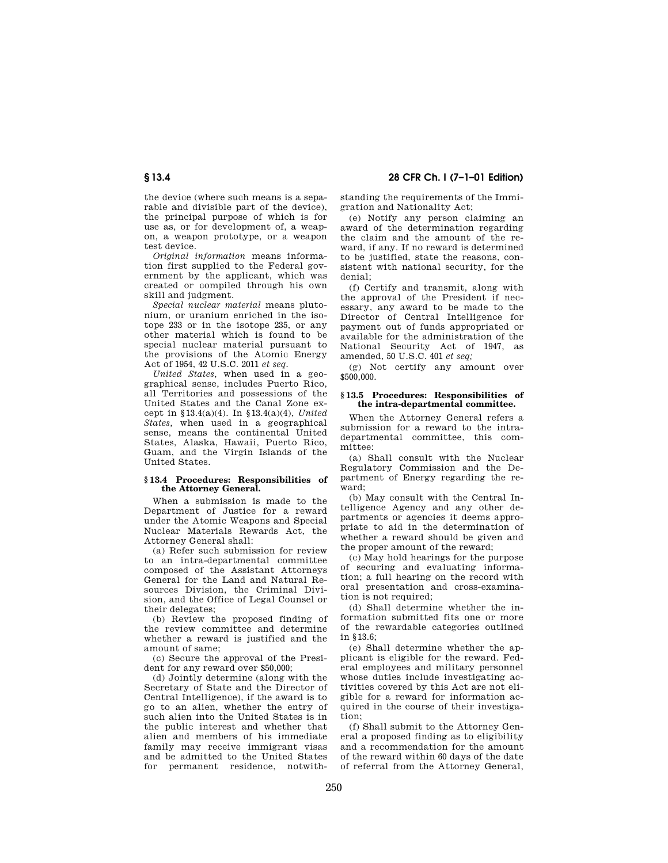the device (where such means is a separable and divisible part of the device), the principal purpose of which is for use as, or for development of, a weapon, a weapon prototype, or a weapon test device.

*Original information* means information first supplied to the Federal government by the applicant, which was created or compiled through his own skill and judgment.

*Special nuclear material* means plutonium, or uranium enriched in the isotope 233 or in the isotope 235, or any other material which is found to be special nuclear material pursuant to the provisions of the Atomic Energy Act of 1954, 42 U.S.C. 2011 *et seq.*

*United States,* when used in a geographical sense, includes Puerto Rico, all Territories and possessions of the United States and the Canal Zone except in § 13.4(a)(4). In § 13.4(a)(4), *United States,* when used in a geographical sense, means the continental United States, Alaska, Hawaii, Puerto Rico, Guam, and the Virgin Islands of the United States.

### **§ 13.4 Procedures: Responsibilities of the Attorney General.**

When a submission is made to the Department of Justice for a reward under the Atomic Weapons and Special Nuclear Materials Rewards Act, the Attorney General shall:

(a) Refer such submission for review to an intra-departmental committee composed of the Assistant Attorneys General for the Land and Natural Resources Division, the Criminal Division, and the Office of Legal Counsel or their delegates;

(b) Review the proposed finding of the review committee and determine whether a reward is justified and the amount of same;

(c) Secure the approval of the President for any reward over \$50,000;

(d) Jointly determine (along with the Secretary of State and the Director of Central Intelligence), if the award is to go to an alien, whether the entry of such alien into the United States is in the public interest and whether that alien and members of his immediate family may receive immigrant visas and be admitted to the United States<br>for permanent residence notwithfor permanent residence, notwith-

**§ 13.4 28 CFR Ch. I (7–1–01 Edition)**

standing the requirements of the Immigration and Nationality Act;

(e) Notify any person claiming an award of the determination regarding the claim and the amount of the reward, if any. If no reward is determined to be justified, state the reasons, consistent with national security, for the denial;

(f) Certify and transmit, along with the approval of the President if necessary, any award to be made to the Director of Central Intelligence for payment out of funds appropriated or available for the administration of the National Security Act of 1947, as amended, 50 U.S.C. 401 *et seq;*

(g) Not certify any amount over \$500,000.

## **§ 13.5 Procedures: Responsibilities of the intra-departmental committee.**

When the Attorney General refers a submission for a reward to the intradepartmental committee, this committee:

(a) Shall consult with the Nuclear Regulatory Commission and the Department of Energy regarding the reward;

(b) May consult with the Central Intelligence Agency and any other departments or agencies it deems appropriate to aid in the determination of whether a reward should be given and the proper amount of the reward;

(c) May hold hearings for the purpose of securing and evaluating information; a full hearing on the record with oral presentation and cross-examination is not required:

(d) Shall determine whether the information submitted fits one or more of the rewardable categories outlined in § 13.6;

(e) Shall determine whether the applicant is eligible for the reward. Federal employees and military personnel whose duties include investigating activities covered by this Act are not eligible for a reward for information acquired in the course of their investigation;

(f) Shall submit to the Attorney General a proposed finding as to eligibility and a recommendation for the amount of the reward within 60 days of the date of referral from the Attorney General,